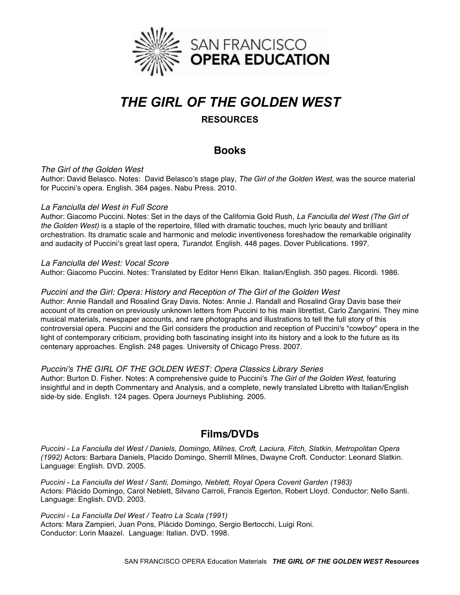

# *THE GIRL OF THE GOLDEN WEST*

# **RESOURCES**

# **Books**

# *The Girl of the Golden West*

Author: David Belasco. Notes: David Belasco's stage play, *The Girl of the Golden West,* was the source material for Puccini's opera. English. 364 pages. Nabu Press. 2010.

### *La Fanciulla del West in Full Score*

Author: Giacomo Puccini. Notes: Set in the days of the California Gold Rush, *La Fanciulla del West (The Girl of the Golden West)* is a staple of the repertoire, filled with dramatic touches, much lyric beauty and brilliant orchestration. Its dramatic scale and harmonic and melodic inventiveness foreshadow the remarkable originality and audacity of Puccini's great last opera, *Turandot*. English. 448 pages. Dover Publications. 1997.

# *La Fanciulla del West: Vocal Score*

Author: Giacomo Puccini. Notes: Translated by Editor Henri Elkan. Italian/English. 350 pages. Ricordi. 1986.

# *Puccini and the Girl: Opera: History and Reception of The Girl of the Golden West*

Author: Annie Randall and Rosalind Gray Davis. Notes: Annie J. Randall and Rosalind Gray Davis base their account of its creation on previously unknown letters from Puccini to his main librettist, Carlo Zangarini. They mine musical materials, newspaper accounts, and rare photographs and illustrations to tell the full story of this controversial opera. Puccini and the Girl considers the production and reception of Puccini's "cowboy" opera in the light of contemporary criticism, providing both fascinating insight into its history and a look to the future as its centenary approaches. English. 248 pages. University of Chicago Press. 2007.

### *Puccini's THE GIRL OF THE GOLDEN WEST: Opera Classics Library Series*

Author: Burton D. Fisher. Notes: A comprehensive guide to Puccini's *The Girl of the Golden West*, featuring insightful and in depth Commentary and Analysis, and a complete, newly translated Libretto with Italian/English side-by side. English. 124 pages. Opera Journeys Publishing. 2005.

# **Films/DVDs**

*Puccini - La Fanciulla del West / Daniels, Domingo, Milnes, Croft, Laciura, Fitch, Slatkin, Metropolitan Opera (1992)* Actors: Barbara Daniels, Placido Domingo, Sherrill Milnes, Dwayne Croft. Conductor: Leonard Slatkin. Language: English. DVD. 2005.

*Puccini - La Fanciulla del West / Santi, Domingo, Neblett, Royal Opera Covent Garden (1983)* Actors: Plácido Domingo, Carol Neblett, Silvano Carroli, Francis Egerton, Robert Lloyd. Conductor: Nello Santi. Language: English. DVD. 2003.

*Puccini - La Fanciulla Del West / Teatro La Scala (1991)* Actors: Mara Zampieri, Juan Pons, Plácido Domingo, Sergio Bertocchi, Luigi Roni. Conductor: Lorin Maazel. Language: Italian. DVD. 1998.